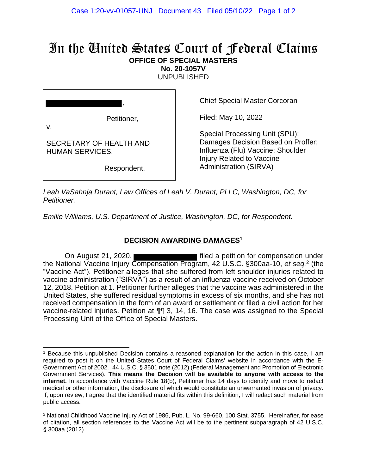## In the United States Court of Federal Claims **OFFICE OF SPECIAL MASTERS**

**No. 20-1057V**

UNPUBLISHED

, Petitioner, v. SECRETARY OF HEALTH AND HUMAN SERVICES,

Respondent.

Chief Special Master Corcoran

Filed: May 10, 2022

Special Processing Unit (SPU); Damages Decision Based on Proffer; Influenza (Flu) Vaccine; Shoulder Injury Related to Vaccine Administration (SIRVA)

*Leah VaSahnja Durant, Law Offices of Leah V. Durant, PLLC, Washington, DC, for Petitioner.*

*Emilie Williams, U.S. Department of Justice, Washington, DC, for Respondent.*

## **DECISION AWARDING DAMAGES**<sup>1</sup>

On August 21, 2020, the National Vaccine Injury Compensation Program, 42 U.S.C. §300aa-10, *et seq.*<sup>2</sup> (the "Vaccine Act"). Petitioner alleges that she suffered from left shoulder injuries related to vaccine administration ("SIRVA") as a result of an influenza vaccine received on October 12, 2018. Petition at 1. Petitioner further alleges that the vaccine was administered in the United States, she suffered residual symptoms in excess of six months, and she has not received compensation in the form of an award or settlement or filed a civil action for her vaccine-related injuries. Petition at ¶¶ 3, 14, 16. The case was assigned to the Special Processing Unit of the Office of Special Masters.

<sup>1</sup> Because this unpublished Decision contains a reasoned explanation for the action in this case, I am required to post it on the United States Court of Federal Claims' website in accordance with the E-Government Act of 2002. 44 U.S.C. § 3501 note (2012) (Federal Management and Promotion of Electronic Government Services). **This means the Decision will be available to anyone with access to the internet.** In accordance with Vaccine Rule 18(b), Petitioner has 14 days to identify and move to redact medical or other information, the disclosure of which would constitute an unwarranted invasion of privacy. If, upon review, I agree that the identified material fits within this definition, I will redact such material from public access.

<sup>&</sup>lt;sup>2</sup> National Childhood Vaccine Injury Act of 1986, Pub. L. No. 99-660, 100 Stat. 3755. Hereinafter, for ease of citation, all section references to the Vaccine Act will be to the pertinent subparagraph of 42 U.S.C. § 300aa (2012).